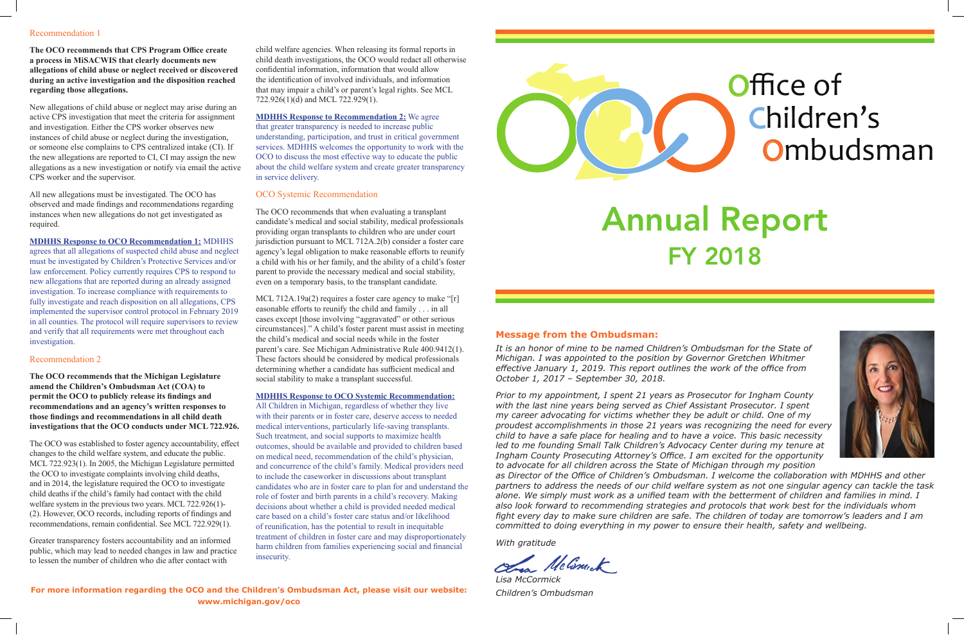## Office of Children's **Ombudsman**

## Annual Report FY 2018

## **Message from the Ombudsman:**

*It is an honor of mine to be named Children's Ombudsman for the State of Michigan. I was appointed to the position by Governor Gretchen Whitmer effective January 1, 2019. This report outlines the work of the office from October 1, 2017 – September 30, 2018.*

*Prior to my appointment, I spent 21 years as Prosecutor for Ingham County with the last nine years being served as Chief Assistant Prosecutor. I spent my career advocating for victims whether they be adult or child. One of my proudest accomplishments in those 21 years was recognizing the need for every child to have a safe place for healing and to have a voice. This basic necessity led to me founding Small Talk Children's Advocacy Center during my tenure at Ingham County Prosecuting Attorney's Office. I am excited for the opportunity to advocate for all children across the State of Michigan through my position* 



*as Director of the Office of Children's Ombudsman. I welcome the collaboration with MDHHS and other partners to address the needs of our child welfare system as not one singular agency can tackle the task alone. We simply must work as a unified team with the betterment of children and families in mind. I also look forward to recommending strategies and protocols that work best for the individuals whom fight every day to make sure children are safe. The children of today are tomorrow's leaders and I am committed to doing everything in my power to ensure their health, safety and wellbeing.*

*With gratitude*

le Comet

*Lisa McCormick Children's Ombudsman*